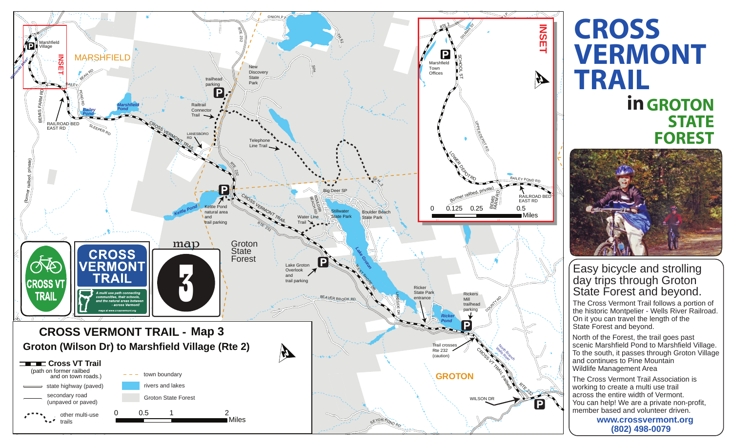

## **CROSS VERMONT TRAIL in GROTON STATE FOREST**



## Easy bicycle and strolling day trips through Groton State Forest and beyond.

The Cross Vermont Trail follows a portion of the historic Montpelier - Wells River Railroad. On it you can travel the length of the State Forest and beyond.

North of the Forest, the trail goes past scenic Marshfield Pond to Marshfield Village. To the south, it passes through Groton Village and continues to Pine Mountain Wildlife Management Area

The Cross Vermont Trail Association is working to create a multi use trail across the entire width of Vermont. You can help! We are a private non-profit, member based and volunteer driven.

> **www.crossvermont.org (802) 498-0079**